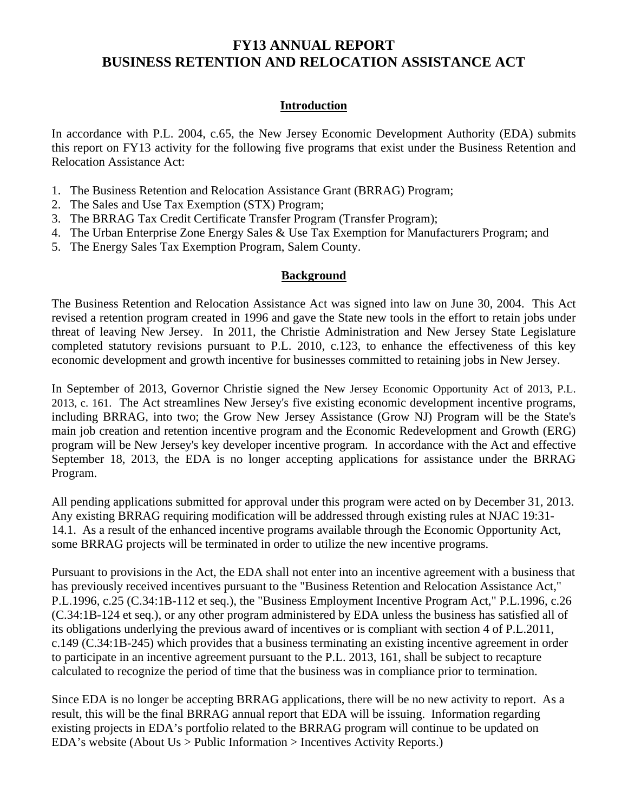## **Introduction**

In accordance with P.L. 2004, c.65, the New Jersey Economic Development Authority (EDA) submits this report on FY13 activity for the following five programs that exist under the Business Retention and Relocation Assistance Act:

- 1. The Business Retention and Relocation Assistance Grant (BRRAG) Program;
- 2. The Sales and Use Tax Exemption (STX) Program;
- 3. The BRRAG Tax Credit Certificate Transfer Program (Transfer Program);
- 4. The Urban Enterprise Zone Energy Sales & Use Tax Exemption for Manufacturers Program; and
- 5. The Energy Sales Tax Exemption Program, Salem County.

## **Background**

The Business Retention and Relocation Assistance Act was signed into law on June 30, 2004. This Act revised a retention program created in 1996 and gave the State new tools in the effort to retain jobs under threat of leaving New Jersey. In 2011, the Christie Administration and New Jersey State Legislature completed statutory revisions pursuant to P.L. 2010, c.123, to enhance the effectiveness of this key economic development and growth incentive for businesses committed to retaining jobs in New Jersey.

In September of 2013, Governor Christie signed the New Jersey Economic Opportunity Act of 2013, P.L. 2013, c. 161. The Act streamlines New Jersey's five existing economic development incentive programs, including BRRAG, into two; the Grow New Jersey Assistance (Grow NJ) Program will be the State's main job creation and retention incentive program and the Economic Redevelopment and Growth (ERG) program will be New Jersey's key developer incentive program. In accordance with the Act and effective September 18, 2013, the EDA is no longer accepting applications for assistance under the BRRAG Program.

All pending applications submitted for approval under this program were acted on by December 31, 2013. Any existing BRRAG requiring modification will be addressed through existing rules at NJAC 19:31- 14.1. As a result of the enhanced incentive programs available through the Economic Opportunity Act, some BRRAG projects will be terminated in order to utilize the new incentive programs.

Pursuant to provisions in the Act, the EDA shall not enter into an incentive agreement with a business that has previously received incentives pursuant to the "Business Retention and Relocation Assistance Act," P.L.1996, c.25 (C.34:1B-112 et seq.), the "Business Employment Incentive Program Act," P.L.1996, c.26 (C.34:1B-124 et seq.), or any other program administered by EDA unless the business has satisfied all of its obligations underlying the previous award of incentives or is compliant with section 4 of P.L.2011, c.149 (C.34:1B-245) which provides that a business terminating an existing incentive agreement in order to participate in an incentive agreement pursuant to the P.L. 2013, 161, shall be subject to recapture calculated to recognize the period of time that the business was in compliance prior to termination.

Since EDA is no longer be accepting BRRAG applications, there will be no new activity to report. As a result, this will be the final BRRAG annual report that EDA will be issuing. Information regarding existing projects in EDA's portfolio related to the BRRAG program will continue to be updated on EDA's website (About Us > Public Information > Incentives Activity Reports.)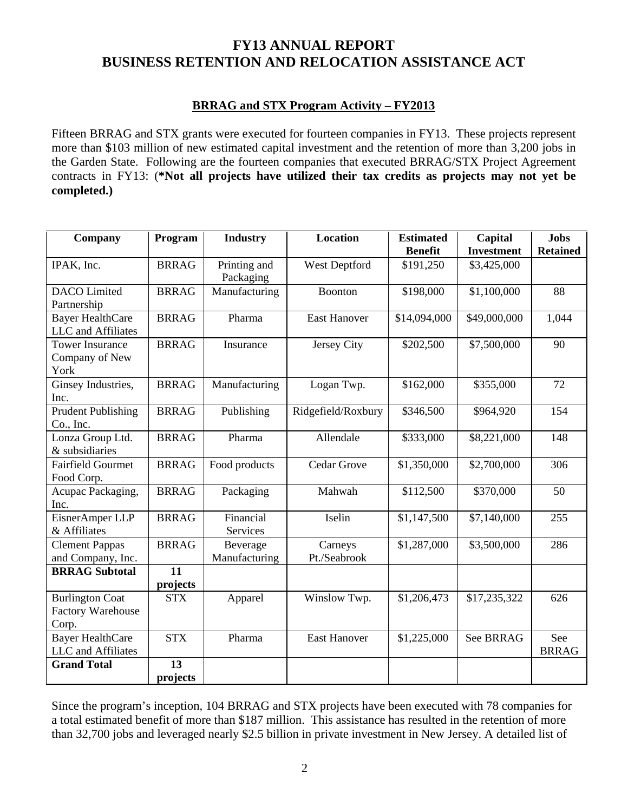## **BRRAG and STX Program Activity – FY2013**

Fifteen BRRAG and STX grants were executed for fourteen companies in FY13. These projects represent more than \$103 million of new estimated capital investment and the retention of more than 3,200 jobs in the Garden State. Following are the fourteen companies that executed BRRAG/STX Project Agreement contracts in FY13: (**\*Not all projects have utilized their tax credits as projects may not yet be completed.)** 

| Company                   | Program      | <b>Location</b><br><b>Industry</b> |                     | <b>Estimated</b> | Capital           | <b>Jobs</b>     |
|---------------------------|--------------|------------------------------------|---------------------|------------------|-------------------|-----------------|
|                           |              |                                    |                     | <b>Benefit</b>   | <b>Investment</b> | <b>Retained</b> |
| IPAK, Inc.                | <b>BRRAG</b> | Printing and<br>Packaging          | West Deptford       | \$191,250        | \$3,425,000       |                 |
| <b>DACO</b> Limited       | <b>BRRAG</b> | Manufacturing                      | Boonton             | \$198,000        | \$1,100,000       | 88              |
| Partnership               |              |                                    |                     |                  |                   |                 |
| <b>Bayer HealthCare</b>   | <b>BRRAG</b> | Pharma                             | <b>East Hanover</b> | \$14,094,000     | \$49,000,000      | 1,044           |
| LLC and Affiliates        |              |                                    |                     |                  |                   |                 |
| <b>Tower Insurance</b>    | <b>BRRAG</b> | Insurance                          | Jersey City         | \$202,500        | \$7,500,000       | 90              |
| Company of New            |              |                                    |                     |                  |                   |                 |
| York                      |              |                                    |                     |                  |                   |                 |
| Ginsey Industries,        | <b>BRRAG</b> | Manufacturing                      | Logan Twp.          | \$162,000        | \$355,000         | 72              |
| Inc.                      |              |                                    |                     |                  |                   |                 |
| <b>Prudent Publishing</b> | <b>BRRAG</b> | Publishing                         | Ridgefield/Roxbury  | \$346,500        | \$964,920         | 154             |
| Co., Inc.                 |              |                                    |                     |                  |                   |                 |
| Lonza Group Ltd.          | <b>BRRAG</b> | Pharma                             | Allendale           | \$333,000        | \$8,221,000       | 148             |
| & subsidiaries            |              |                                    |                     |                  |                   |                 |
| <b>Fairfield Gourmet</b>  | <b>BRRAG</b> | Food products                      | Cedar Grove         | \$1,350,000      | \$2,700,000       | 306             |
| Food Corp.                |              |                                    |                     |                  |                   |                 |
| Acupac Packaging,         | <b>BRRAG</b> | Packaging                          | Mahwah              | \$112,500        | \$370,000         | 50              |
| Inc.                      |              |                                    |                     |                  |                   |                 |
| EisnerAmper LLP           | <b>BRRAG</b> | Financial                          | Iselin              | \$1,147,500      | \$7,140,000       | 255             |
| & Affiliates              |              | Services                           |                     |                  |                   |                 |
| <b>Clement Pappas</b>     | <b>BRRAG</b> | Beverage                           | Carneys             | \$1,287,000      | \$3,500,000       | 286             |
| and Company, Inc.         |              | Manufacturing                      | Pt./Seabrook        |                  |                   |                 |
| <b>BRRAG Subtotal</b>     | 11           |                                    |                     |                  |                   |                 |
|                           | projects     |                                    |                     |                  |                   |                 |
| <b>Burlington Coat</b>    | <b>STX</b>   | Apparel                            | Winslow Twp.        | \$1,206,473      | \$17,235,322      | 626             |
| <b>Factory Warehouse</b>  |              |                                    |                     |                  |                   |                 |
| Corp.                     |              |                                    |                     |                  |                   |                 |
| <b>Bayer HealthCare</b>   | <b>STX</b>   | Pharma                             | <b>East Hanover</b> | \$1,225,000      | See BRRAG         | See             |
| LLC and Affiliates        |              |                                    |                     |                  |                   | <b>BRRAG</b>    |
| <b>Grand Total</b>        | 13           |                                    |                     |                  |                   |                 |
|                           | projects     |                                    |                     |                  |                   |                 |

Since the program's inception, 104 BRRAG and STX projects have been executed with 78 companies for a total estimated benefit of more than \$187 million. This assistance has resulted in the retention of more than 32,700 jobs and leveraged nearly \$2.5 billion in private investment in New Jersey. A detailed list of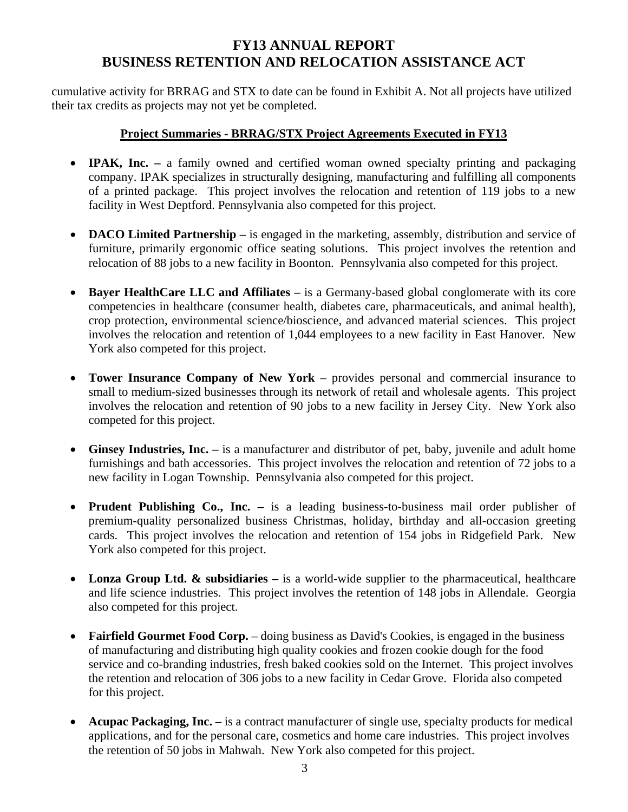cumulative activity for BRRAG and STX to date can be found in Exhibit A. Not all projects have utilized their tax credits as projects may not yet be completed.

## **Project Summaries - BRRAG/STX Project Agreements Executed in FY13**

- **IPAK, Inc.** a family owned and certified woman owned specialty printing and packaging company. IPAK specializes in structurally designing, manufacturing and fulfilling all components of a printed package. This project involves the relocation and retention of 119 jobs to a new facility in West Deptford. Pennsylvania also competed for this project.
- **DACO Limited Partnership** is engaged in the marketing, assembly, distribution and service of furniture, primarily ergonomic office seating solutions. This project involves the retention and relocation of 88 jobs to a new facility in Boonton. Pennsylvania also competed for this project.
- **Bayer HealthCare LLC and Affiliates** is a Germany-based global conglomerate with its core competencies in healthcare (consumer health, diabetes care, pharmaceuticals, and animal health), crop protection, environmental science/bioscience, and advanced material sciences. This project involves the relocation and retention of 1,044 employees to a new facility in East Hanover. New York also competed for this project.
- **Tower Insurance Company of New York** provides personal and commercial insurance to small to medium-sized businesses through its network of retail and wholesale agents. This project involves the relocation and retention of 90 jobs to a new facility in Jersey City. New York also competed for this project.
- **Ginsey Industries, Inc.** is a manufacturer and distributor of pet, baby, juvenile and adult home furnishings and bath accessories. This project involves the relocation and retention of 72 jobs to a new facility in Logan Township. Pennsylvania also competed for this project.
- **Prudent Publishing Co., Inc.** is a leading business-to-business mail order publisher of premium-quality personalized business Christmas, holiday, birthday and all-occasion greeting cards. This project involves the relocation and retention of 154 jobs in Ridgefield Park. New York also competed for this project.
- Lonza Group Ltd.  $\&$  subsidiaries is a world-wide supplier to the pharmaceutical, healthcare and life science industries. This project involves the retention of 148 jobs in Allendale. Georgia also competed for this project.
- **Fairfield Gourmet Food Corp.** doing business as David's Cookies, is engaged in the business of manufacturing and distributing high quality cookies and frozen cookie dough for the food service and co-branding industries, fresh baked cookies sold on the Internet. This project involves the retention and relocation of 306 jobs to a new facility in Cedar Grove. Florida also competed for this project.
- **Acupac Packaging, Inc.** is a contract manufacturer of single use, specialty products for medical applications, and for the personal care, cosmetics and home care industries. This project involves the retention of 50 jobs in Mahwah. New York also competed for this project.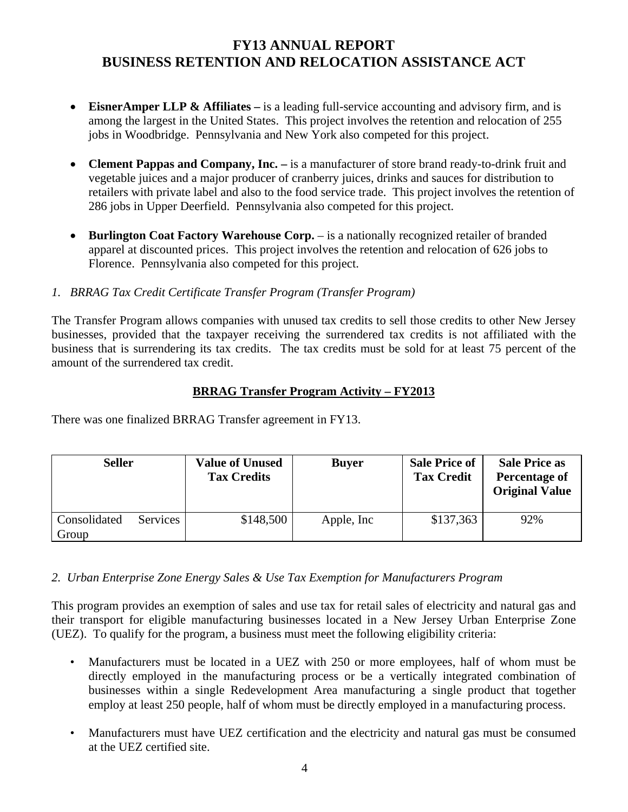- **EisnerAmper LLP & Affiliates** is a leading full-service accounting and advisory firm, and is among the largest in the United States. This project involves the retention and relocation of 255 jobs in Woodbridge. Pennsylvania and New York also competed for this project.
- **Clement Pappas and Company, Inc.** is a manufacturer of store brand ready-to-drink fruit and vegetable juices and a major producer of cranberry juices, drinks and sauces for distribution to retailers with private label and also to the food service trade. This project involves the retention of 286 jobs in Upper Deerfield. Pennsylvania also competed for this project.
- **Burlington Coat Factory Warehouse Corp.** is a nationally recognized retailer of branded apparel at discounted prices. This project involves the retention and relocation of 626 jobs to Florence. Pennsylvania also competed for this project.

# *1. BRRAG Tax Credit Certificate Transfer Program (Transfer Program)*

The Transfer Program allows companies with unused tax credits to sell those credits to other New Jersey businesses, provided that the taxpayer receiving the surrendered tax credits is not affiliated with the business that is surrendering its tax credits. The tax credits must be sold for at least 75 percent of the amount of the surrendered tax credit.

# **BRRAG Transfer Program Activity – FY2013**

There was one finalized BRRAG Transfer agreement in FY13.

|                       | <b>Seller</b><br><b>Value of Unused</b> |           | <b>Buver</b> | <b>Sale Price of</b><br><b>Tax Credit</b> | <b>Sale Price as</b><br>Percentage of<br><b>Original Value</b> |  |
|-----------------------|-----------------------------------------|-----------|--------------|-------------------------------------------|----------------------------------------------------------------|--|
| Consolidated<br>Group | <b>Services</b>                         | \$148,500 | Apple, Inc   | \$137,363                                 | 92%                                                            |  |

# *2. Urban Enterprise Zone Energy Sales & Use Tax Exemption for Manufacturers Program*

This program provides an exemption of sales and use tax for retail sales of electricity and natural gas and their transport for eligible manufacturing businesses located in a New Jersey Urban Enterprise Zone (UEZ). To qualify for the program, a business must meet the following eligibility criteria:

- Manufacturers must be located in a UEZ with 250 or more employees, half of whom must be directly employed in the manufacturing process or be a vertically integrated combination of businesses within a single Redevelopment Area manufacturing a single product that together employ at least 250 people, half of whom must be directly employed in a manufacturing process.
- Manufacturers must have UEZ certification and the electricity and natural gas must be consumed at the UEZ certified site.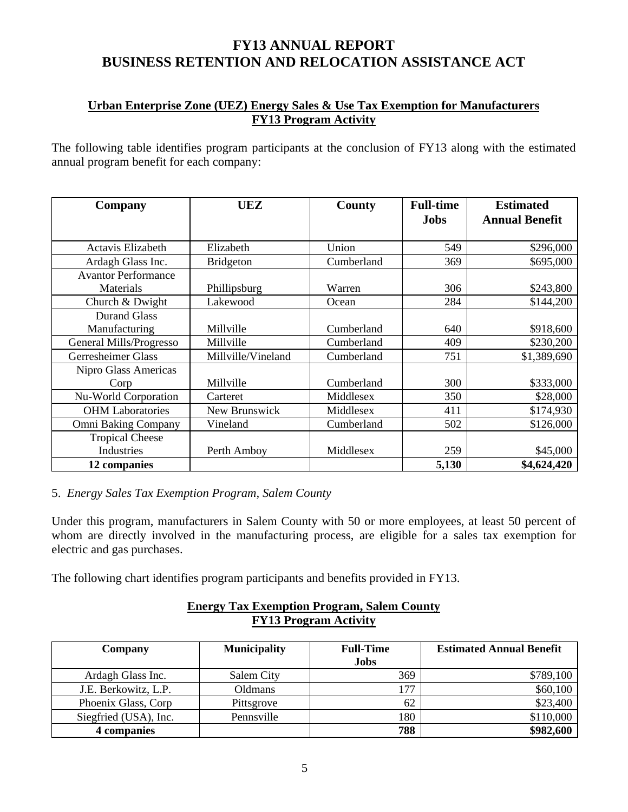# **Urban Enterprise Zone (UEZ) Energy Sales & Use Tax Exemption for Manufacturers FY13 Program Activity**

The following table identifies program participants at the conclusion of FY13 along with the estimated annual program benefit for each company:

| Company                    | UEZ                | County     | <b>Full-time</b><br><b>Jobs</b> | <b>Estimated</b><br><b>Annual Benefit</b> |  |
|----------------------------|--------------------|------------|---------------------------------|-------------------------------------------|--|
|                            |                    |            |                                 |                                           |  |
| Actavis Elizabeth          | Elizabeth          | Union      | 549                             | \$296,000                                 |  |
| Ardagh Glass Inc.          | <b>Bridgeton</b>   | Cumberland | 369                             | \$695,000                                 |  |
| <b>Avantor Performance</b> |                    |            |                                 |                                           |  |
| Materials                  | Phillipsburg       | Warren     | 306                             | \$243,800                                 |  |
| Church & Dwight            | Lakewood           | Ocean      | 284                             | \$144,200                                 |  |
| <b>Durand Glass</b>        |                    |            |                                 |                                           |  |
| Manufacturing              | Millville          | Cumberland | 640                             | \$918,600                                 |  |
| General Mills/Progresso    | Millville          | Cumberland | 409                             | \$230,200                                 |  |
| Gerresheimer Glass         | Millville/Vineland | Cumberland | 751                             | \$1,389,690                               |  |
| Nipro Glass Americas       |                    |            |                                 |                                           |  |
| Corp                       | Millville          | Cumberland | 300                             | \$333,000                                 |  |
| Nu-World Corporation       | Carteret           | Middlesex  | 350                             | \$28,000                                  |  |
| <b>OHM</b> Laboratories    | New Brunswick      | Middlesex  | 411                             | \$174,930                                 |  |
| Omni Baking Company        | Vineland           | Cumberland | 502                             | \$126,000                                 |  |
| <b>Tropical Cheese</b>     |                    |            |                                 |                                           |  |
| Industries                 | Perth Amboy        | Middlesex  | 259                             | \$45,000                                  |  |
| 12 companies               |                    |            | 5,130                           | \$4,624,420                               |  |

# 5. *Energy Sales Tax Exemption Program, Salem County*

Under this program, manufacturers in Salem County with 50 or more employees, at least 50 percent of whom are directly involved in the manufacturing process, are eligible for a sales tax exemption for electric and gas purchases.

The following chart identifies program participants and benefits provided in FY13.

### **Energy Tax Exemption Program, Salem County FY13 Program Activity**

| <b>Company</b>        | <b>Municipality</b> | <b>Full-Time</b> | <b>Estimated Annual Benefit</b> |
|-----------------------|---------------------|------------------|---------------------------------|
|                       |                     | <b>Jobs</b>      |                                 |
| Ardagh Glass Inc.     | Salem City          | 369              | \$789,100                       |
| J.E. Berkowitz, L.P.  | Oldmans             | 177              | \$60,100                        |
| Phoenix Glass, Corp   | Pittsgrove          | 62               | \$23,400                        |
| Siegfried (USA), Inc. | Pennsville          | 180              | \$110,000                       |
| 4 companies           |                     | 788              | \$982,600                       |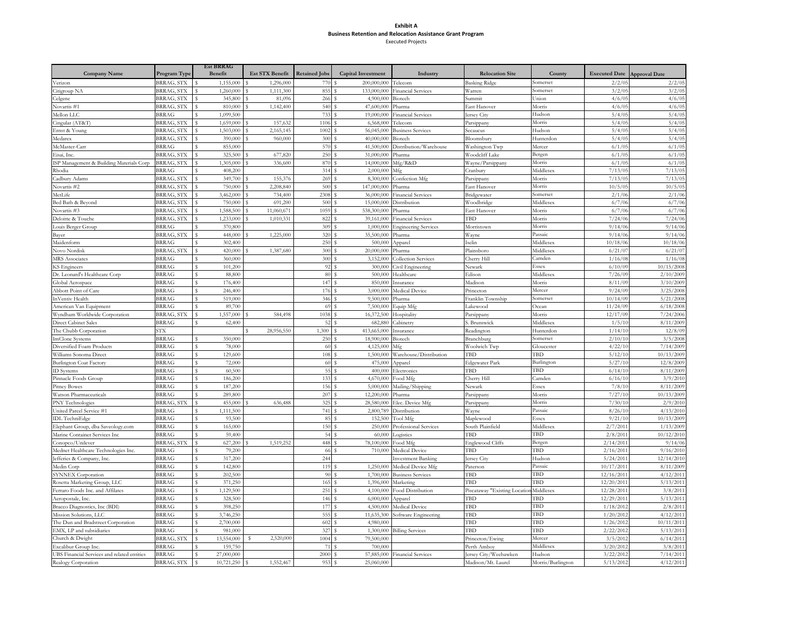#### **Exhibit A Business Retention and Relocation Assistance Grant Program** Executed Projects

|                                                         |                   | <b>Est BRRAG</b> |                        |                      |                           |                           |                              |                   |                      |                      |
|---------------------------------------------------------|-------------------|------------------|------------------------|----------------------|---------------------------|---------------------------|------------------------------|-------------------|----------------------|----------------------|
| <b>Company Name</b>                                     | Program Type      | Benefit          | <b>Est STX Benefit</b> | <b>Retained Jobs</b> | <b>Capital Investment</b> | Industry                  | <b>Relocation Site</b>       | County            | <b>Executed Date</b> | <b>Approval Date</b> |
| Verizon                                                 | BRRAG, STX        | 1,155,000        | 1,296,000              |                      | 200.000.000               | Telecom                   | Basking Ridge                | somerset          | 2/2/0                | 2/2/0                |
| itigroup NA                                             | BRRAG, STX        | 1,260,000        | 1,111,300              | 855                  | 133,000,000               | Financial Services        | Warren                       | somerset          | 3/2/0                | 3/2/05               |
| Celgene                                                 | BRRAG, STX        | 345,800          | 81,096                 | 266                  | 4.900,000                 | <b>Biotech</b>            | Summit                       | Inion             | 4/6/0                | 4/6/05               |
| Novartis #1                                             | BRRAG, STX        | 810,000          | 1,142,400              | 540                  | 47,600,000                | Pharma                    | East Hanover                 | Morris            | 4/6/0                | 4/6/05               |
| Mellon LLC                                              | <b>BRRAG</b>      | 1,099,500        |                        | 733                  | 19,000,000                | inancial Services         | ersey City                   | <b>Iudson</b>     | 5/4/0                | 5/4/0                |
| ingular (AT&T)                                          | BRRAG, STX        | 1,659,000        | 157,632                | 1106                 | 6,568,000                 | Felecom                   | Parsippany                   | Morris            | 5/4/0                | 5/4/0                |
| ernst & Young                                           | BRRAG, STX        | 1,503,000<br>s   | 2,165,145              | 1002                 | 56,045,000                | <b>Business Services</b>  | Secaucus                     | <b>Iudson</b>     | 5/4/05               | 5/4/0                |
| Medarex                                                 | BRRAG, STX        | 390,000          | 960,000                | 300                  | 40,000,000                | <b>Biotech</b>            | Bloomsbury                   | Hunterdor         | 5/4/0                | 5/4/0                |
| McMaster-Carr                                           | <b>BRRAG</b>      | 855,000          |                        | 570                  | 41,500,000                | Distribution/Warehouse    | Washington Twp               | Mercer            | 6/1/0                | 6/1/0                |
| lisai, Inc.                                             | BRRAG, STX        | 325,500          | 677,820                | 250                  | 31,000,000                | <sup>2</sup> harma        | Woodcliff Lake               |                   | 6/1/0                | 6/1/0                |
|                                                         |                   | s                | 336,600                |                      |                           |                           |                              | 3ergen            |                      | 6/1/0                |
| SP Management & Building Materials Corp                 | 3RRAG, STX        | 1,305,000        |                        | 870                  | 14,000,000                | Mfg/R&D                   | Wayne/Parsippany             | Morris            | 6/1/0                |                      |
| Rhodia                                                  | <b>RRAG</b>       | 408,200          |                        | 314                  | 2,000,000                 | Vlfo                      | Cranbury                     | Middlesex         | 7/13/0               | 7/13/0               |
| adbury Adams                                            | BRRAG, STX        | 349,700          | 155,37                 | 269                  | 8,300,000                 | <b>Confection Mfg</b>     | Parsippany                   | Morris            | 7/13/05              | 7/13/0               |
| Novartis #2                                             | BRRAG, STX        | 750,000          | 2,208,840              | 500                  | 147,000,000               | harma                     | East Hanover                 | Morris            | 10/5/0               | 10/5/0               |
| MetLife                                                 | BRRAG, STX        | 3,462,000        | 734,400                | 2308                 | 36,000,000                | inancial Services         | Bridgewater                  | somerset          | 2/1/00               | 2/1/00               |
| Bed Bath & Beyond                                       | <b>BRRAG, STX</b> | 750,000          | 691,200                | 500                  | 15,000,000                | <b>Distribution</b>       | Woodbridge                   | Middlesex         | 6/7/0                | 6/7/0                |
| Novartis #3                                             | BRRAG, STX        | ,588,500         | 11,060,671             | 1059                 | 538,300,000               | harma                     | East Hanover                 | Morris            | 6/7/0                | 6/7/0                |
| Deloitte & Touche                                       | BRRAG, STX        | 1,233,000        | 1,010,331              | 822                  | 39,161,000                | inancial Services         | TBD                          | Morris            | 7/24/00              | 7/24/00              |
| ouis Berger Group                                       | <b>BRRAG</b>      | 370,800          |                        | 309                  | 1,000,000                 | Ingineering Services      | Morristown                   | Morris            | 9/14/00              | 9/14/00              |
| Bayer                                                   | 3RRAG, STX        | 448,000          | 1,225,000              | 320                  | 35,500,000                | <sup>3</sup> harma        | Wayne                        | assaic            | 9/14/00              | 9/14/0               |
| Maidenform                                              | <b>BRRAG</b>      | 302,400          |                        | 250                  | 500,000                   | <i><b>Apparel</b></i>     | selin                        | Middlesex         | 10/18/00             | 10/18/00             |
| Novo Nordisk                                            | BRRAG, STX        | 420,000<br>s     | 1,387,680              | 300                  | 20,000,000                | <sup>&gt;</sup> harma     | Plainsboro                   | Middlesex         | 6/21/0               | 6/21/0               |
| <b>MRS</b> Associates                                   | <b>BRRAG</b>      | 360,000          |                        | 300                  | 3,152,000                 | Collection Services       | Cherry Hill                  | Camden            | 1/16/08              | 1/16/08              |
| <b>KS</b> Engineers                                     | 3RRAG             | 101,200          |                        | 92                   | 300,000                   | ivil Engineering          | Newark                       | issex             | 6/10/09              | 10/15/200            |
| Dr. Leonard's Healthcare Corp                           | 3RRAG             | 88,800           |                        | 80                   | 500,000                   | <b>Iealthcare</b>         | Edison                       | Middlesex         | 7/26/0               | 2/10/2009            |
| Global Aerospace                                        | <b>BRRAG</b>      | 176,400          |                        | 147                  | 850,000                   | Insurance                 | Madison                      | Morris            | 8/11/09              | 3/10/2009            |
| Abbott Point of Care                                    | <b>BRRAG</b>      | 246,400          |                        | 176                  | 3,000,000<br>s            | Medical Device            | Princeton                    | Mercer            | 9/24/09              | 3/25/2008            |
| nVentiv Health                                          | <b>BRRAG</b>      | 519,000          |                        | 346                  | 9,500,000                 | harma                     | Franklin Township            | somerset          | 10/14/09             | 5/21/2008            |
|                                                         | 3RRAG             | 89,700           |                        | 69                   | 7,500,000                 |                           |                              | <b>Ocean</b>      | 11/24/09             | 6/18/2008            |
| American Van Equipment<br>Wyndham Worldwide Corporation | BRRAG, STX        | 1.557.000        | 584.498                | 1038                 | 16,372,500                | equip Mfg                 | .akewood                     | Morris            | 12/17/09             | 7/24/200             |
|                                                         | <b>BRRAG</b>      | 62,400           |                        | 52                   |                           | lospitality               | Parsippany                   | Middlesex         | 1/5/10               | 8/11/2009            |
| <b>Direct Cabinet Sales</b>                             |                   |                  |                        |                      | 682,880                   | Cabinetry                 | S. Brunswick                 |                   |                      |                      |
| The Chubb Corporation                                   | STX.              |                  | 28,956,550             | 1,300                | 413,665,000               | nsurance                  | Readington                   | Hunterdor         | 1/14/1               | 12/8/0               |
| ImClone Systems                                         | 3RRAG             | 350,000          |                        | 250                  | 18,900,000                | Biotech                   | Branchburg                   | somerset          | 2/10/1               | 3/5/200              |
| Diversified Foam Products                               | <b>BRRAG</b>      | 78,000           |                        | 60                   | 4,125,000                 | Mfg                       | Woolwich Twp                 | Gloucester        | 4/22/10              | 7/14/2009            |
| Williams Sonoma Direct                                  | 3RRAG             | 129,600          |                        | 108                  | 1,500,000                 | Warehouse/Distribution    | TBD                          | ГBD               | 5/12/10              | 10/13/200            |
| <b>Burlington Coat Factory</b>                          | <b>BRRAG</b>      | 72,000           |                        | 60                   | 475,000                   | <i><b>Apparel</b></i>     | Edgewater Park               | 3urlington        | 5/27/1               | 12/8/200             |
| <b>ID</b> Systems                                       | <b>BRRAG</b>      | 60,500           |                        | 55                   | 400,000                   | Electronics               | TBD                          | <b>FBD</b>        | 6/14/10              | 8/11/2009            |
| Pinnacle Foods Group                                    | 3RRAG             | 186,200<br>s     |                        | 133                  | 4,670,000                 | ood Mfg                   | Cherry Hill                  | Camden            | 6/16/10              | 3/9/201              |
| <b>Pitney Bowes</b>                                     | <b>BRRAG</b>      | 187,200<br>s     |                        | 156                  | 5,000,000                 | Mailing/Shipping          | Newark                       | issex             | 7/8/10               | 8/11/2009            |
| Watson Pharmaceuticals                                  | <b>BRRAG</b>      | 289,800          |                        | 207                  | 12,200,000                | Pharma                    | Parsippany                   | Morris            | 7/27/10              | 10/13/2009           |
| PNY Technologies                                        | BRRAG, STX        | 455,000          | 636,488                | 325                  | 28,580,000                | lec. Device Mfg           | Parsippany                   | Morris            | 7/30/1               | 2/9/201              |
| Inited Parcel Service #1                                | 3RRAG             | 1,111,500        |                        | 741                  | 2,800,789                 | Distribution              | Wayne                        | Passaic           | 8/26/10              | 4/13/2010            |
| <b>IDL</b> TechniEdge                                   | <b>BRRAG</b>      | 93,500           |                        | 85                   | Ś<br>152,500              | <b>Tool Mfg</b>           | Maplewood                    | issex             | 9/21/1               | 10/13/200            |
| Elephant Group, dba Saveology.com                       | <b>BRRAG</b>      | 165,000          |                        | 150                  | 250,000                   | Professional Services     | South Plainfield             | Middlesex         | 2/7/201              | 1/13/200             |
| Marine Container Services Inc                           | <b>BRRAG</b>      | 59,400           |                        | 54                   | 60,000                    | ogistics                  | TRD                          | <b>FBD</b>        | 2/8/201              | 10/12/201            |
| conopco/Unilever                                        | BRRAG, STX        | 627,200          | 1,519,252              | 448                  | 78,100,000                | ood Mfg                   | Englewood Cliffs             | 3ergen            | 2/14/201             | 9/14/0               |
| Mednet Healthcare Technologies Inc.                     | <b>BRRAG</b>      | 79,200           |                        | 66                   | 710,000                   | Medical Device            | TBD                          | TBD               | 2/16/201             | 9/16/2010            |
| Jefferies & Company, Inc.                               | <b>BRRAG</b>      | 317,200          |                        | 244                  |                           | <b>Investment Banking</b> | ersey City                   | Hudson            | 5/24/201             | 12/14/2010           |
| Medin Corp                                              | <b>BRRAG</b>      | 142,800          |                        | 119                  | 1,250,000                 | Medical Device Mfg        | Paterson                     | Passaic           | 10/17/201            | 8/11/2009            |
| <b>SYNNEX</b> Corporation                               | 3RRAG             | 202,500          |                        | 90                   | 1,700,000                 | <b>Business Services</b>  | TBD                          | ГBD               | 12/16/2011           | 4/12/2011            |
| Rosetta Marketing Group, LLC                            | 3RRAG             | 371,250          |                        | 165                  | 1,396,000                 | Marketing                 | TBD                          | <b>FBD</b>        | 12/20/201            | 5/13/201             |
| Ferraro Foods Inc. and Affilates                        | 3RRAG             | 1,129,500        |                        | 251                  | 4,100,000                 | ood Distribution          | Piscataway "Existing Locatio | Middlesex         | 12/28/201            | 3/8/201              |
|                                                         | <b>BRRAG</b>      | 328,500          |                        |                      | 6,000,000                 |                           | TBD                          | <b>FBD</b>        |                      | 5/13/2011            |
| Aeropostale, Inc.                                       |                   | s.               |                        | 146                  |                           | Apparel                   |                              | <b>FBD</b>        | 12/29/2011           |                      |
| Bracco Diagnostics, Inc (BDI)                           | 3RRAG             | 398,250          |                        | 177                  | 4,500,000                 | Medical Device            | TBD                          |                   | 1/18/201             | 2/8/201              |
| Mission Solutions, LLC                                  | 3RRAG             | 3,746,250        |                        | 555                  | 11,635,300                | Software Engineering      | TBD                          | ГBD               | 1/20/201             | 4/12/2011            |
| The Dun and Bradstreet Corporation                      | 3RRAG             | 2,700,000        |                        | 602                  | 4,980,000                 |                           | TBD                          | <b>FBD</b>        | 1/26/2012            | 10/11/2011           |
| EMX, LP and subsidiaries                                | 3RRAG             | 981,000          |                        | 327                  | 1,300,000                 | <b>Billing Services</b>   | TBD                          | <b>FBD</b>        | 2/22/201             | 5/13/201             |
| Church & Dwight                                         | BRRAG, STX        | 13,554,000       | 2,520,000              | 1004                 | 79,500,000                |                           | Princeton/Ewing              | Mercer            | 3/5/201              | 6/14/2011            |
| xcalibur Group Inc.                                     | 3RRAG             | 159,750          |                        | 71                   | 700,000                   |                           | Perth Amboy                  | Middlesex         | 3/20/201             | 3/8/201              |
| JBS Financial Services and related entities             | 3RRAG             | 27,000,000       |                        | 2000                 | 57,885,000                | <b>Financial Services</b> | ersey City/Weehawken         | Hudson            | 3/22/201             | 7/14/201             |
| Realogy Corporation                                     | BRRAG, STX        | 10,721,250<br>s  | 1,552,467              | 953                  | 25,060,000                |                           | Madison/Mt. Laurel           | Morris/Burlington | 5/13/2012            | 4/12/2011            |